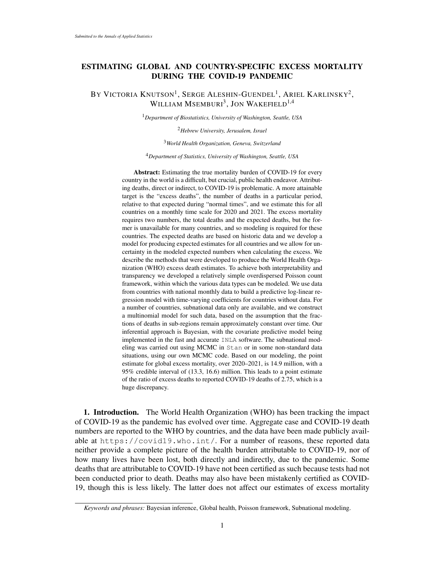## ESTIMATING GLOBAL AND COUNTRY-SPECIFIC EXCESS MORTALITY DURING THE COVID-19 PANDEMIC

BY VICTORIA  $\rm K$ nutson $^1$ , Serge Aleshin-Guendel $^1$ , Ariel Karlinsky $^2$ , WILLIAM  $\mathrm{MSEMBURl}^3,$  Jon Wakefield<sup>1,4</sup>

<sup>1</sup>*Department of Biostatistics, University of Washington, Seattle, USA*

<sup>2</sup>*Hebrew University, Jerusalem, Israel*

<sup>3</sup>*World Health Organization, Geneva, Switzerland*

<sup>4</sup>*Department of Statistics, University of Washington, Seattle, USA*

Abstract: Estimating the true mortality burden of COVID-19 for every country in the world is a difficult, but crucial, public health endeavor. Attributing deaths, direct or indirect, to COVID-19 is problematic. A more attainable target is the "excess deaths", the number of deaths in a particular period, relative to that expected during "normal times", and we estimate this for all countries on a monthly time scale for 2020 and 2021. The excess mortality requires two numbers, the total deaths and the expected deaths, but the former is unavailable for many countries, and so modeling is required for these countries. The expected deaths are based on historic data and we develop a model for producing expected estimates for all countries and we allow for uncertainty in the modeled expected numbers when calculating the excess. We describe the methods that were developed to produce the World Health Organization (WHO) excess death estimates. To achieve both interpretability and transparency we developed a relatively simple overdispersed Poisson count framework, within which the various data types can be modeled. We use data from countries with national monthly data to build a predictive log-linear regression model with time-varying coefficients for countries without data. For a number of countries, subnational data only are available, and we construct a multinomial model for such data, based on the assumption that the fractions of deaths in sub-regions remain approximately constant over time. Our inferential approach is Bayesian, with the covariate predictive model being implemented in the fast and accurate INLA software. The subnational modeling was carried out using MCMC in Stan or in some non-standard data situations, using our own MCMC code. Based on our modeling, the point estimate for global excess mortality, over 2020–2021, is 14.9 million, with a 95% credible interval of (13.3, 16.6) million. This leads to a point estimate of the ratio of excess deaths to reported COVID-19 deaths of 2.75, which is a huge discrepancy.

1. Introduction. The World Health Organization (WHO) has been tracking the impact of COVID-19 as the pandemic has evolved over time. Aggregate case and COVID-19 death numbers are reported to the WHO by countries, and the data have been made publicly available at https://covid19.who.int/. For a number of reasons, these reported data neither provide a complete picture of the health burden attributable to COVID-19, nor of how many lives have been lost, both directly and indirectly, due to the pandemic. Some deaths that are attributable to COVID-19 have not been certified as such because tests had not been conducted prior to death. Deaths may also have been mistakenly certified as COVID-19, though this is less likely. The latter does not affect our estimates of excess mortality

*Keywords and phrases:* Bayesian inference, Global health, Poisson framework, Subnational modeling.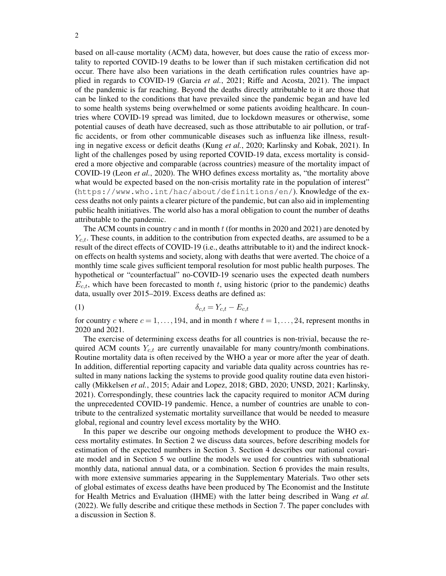based on all-cause mortality (ACM) data, however, but does cause the ratio of excess mortality to reported COVID-19 deaths to be lower than if such mistaken certification did not occur. There have also been variations in the death certification rules countries have applied in regards to COVID-19 (Garcia *et al.*, 2021; Riffe and Acosta, 2021). The impact of the pandemic is far reaching. Beyond the deaths directly attributable to it are those that can be linked to the conditions that have prevailed since the pandemic began and have led to some health systems being overwhelmed or some patients avoiding healthcare. In countries where COVID-19 spread was limited, due to lockdown measures or otherwise, some potential causes of death have decreased, such as those attributable to air pollution, or traffic accidents, or from other communicable diseases such as influenza like illness, resulting in negative excess or deficit deaths (Kung *et al.*, 2020; Karlinsky and Kobak, 2021). In light of the challenges posed by using reported COVID-19 data, excess mortality is considered a more objective and comparable (across countries) measure of the mortality impact of COVID-19 (Leon *et al.*, 2020). The WHO defines excess mortality as, "the mortality above what would be expected based on the non-crisis mortality rate in the population of interest" (https://www.who.int/hac/about/definitions/en/). Knowledge of the excess deaths not only paints a clearer picture of the pandemic, but can also aid in implementing public health initiatives. The world also has a moral obligation to count the number of deaths attributable to the pandemic.

The ACM counts in country c and in month t (for months in 2020 and 2021) are denoted by  $Y_{c,t}$ . These counts, in addition to the contribution from expected deaths, are assumed to be a result of the direct effects of COVID-19 (i.e., deaths attributable to it) and the indirect knockon effects on health systems and society, along with deaths that were averted. The choice of a monthly time scale gives sufficient temporal resolution for most public health purposes. The hypothetical or "counterfactual" no-COVID-19 scenario uses the expected death numbers  $E_{c,t}$ , which have been forecasted to month t, using historic (prior to the pandemic) deaths data, usually over 2015–2019. Excess deaths are defined as:

$$
\delta_{c,t} = Y_{c,t} - E_{c,t}
$$

for country c where  $c = 1, \ldots, 194$ , and in month t where  $t = 1, \ldots, 24$ , represent months in 2020 and 2021.

The exercise of determining excess deaths for all countries is non-trivial, because the required ACM counts  $Y_{c,t}$  are currently unavailable for many country/month combinations. Routine mortality data is often received by the WHO a year or more after the year of death. In addition, differential reporting capacity and variable data quality across countries has resulted in many nations lacking the systems to provide good quality routine data even historically (Mikkelsen *et al.*, 2015; Adair and Lopez, 2018; GBD, 2020; UNSD, 2021; Karlinsky, 2021). Correspondingly, these countries lack the capacity required to monitor ACM during the unprecedented COVID-19 pandemic. Hence, a number of countries are unable to contribute to the centralized systematic mortality surveillance that would be needed to measure global, regional and country level excess mortality by the WHO.

In this paper we describe our ongoing methods development to produce the WHO excess mortality estimates. In Section 2 we discuss data sources, before describing models for estimation of the expected numbers in Section 3. Section 4 describes our national covariate model and in Section 5 we outline the models we used for countries with subnational monthly data, national annual data, or a combination. Section 6 provides the main results, with more extensive summaries appearing in the Supplementary Materials. Two other sets of global estimates of excess deaths have been produced by The Economist and the Institute for Health Metrics and Evaluation (IHME) with the latter being described in Wang *et al.* (2022). We fully describe and critique these methods in Section 7. The paper concludes with a discussion in Section 8.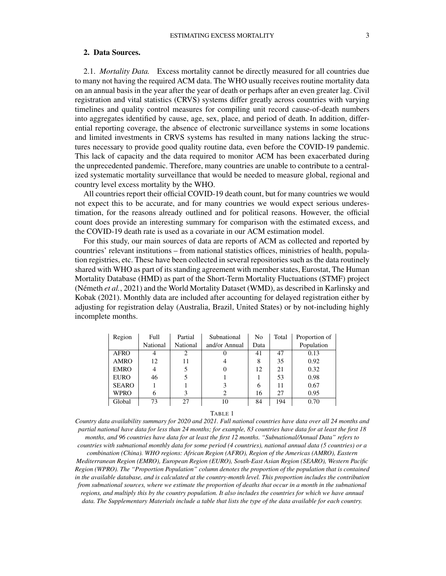## 2. Data Sources.

2.1. *Mortality Data.* Excess mortality cannot be directly measured for all countries due to many not having the required ACM data. The WHO usually receives routine mortality data on an annual basis in the year after the year of death or perhaps after an even greater lag. Civil registration and vital statistics (CRVS) systems differ greatly across countries with varying timelines and quality control measures for compiling unit record cause-of-death numbers into aggregates identified by cause, age, sex, place, and period of death. In addition, differential reporting coverage, the absence of electronic surveillance systems in some locations and limited investments in CRVS systems has resulted in many nations lacking the structures necessary to provide good quality routine data, even before the COVID-19 pandemic. This lack of capacity and the data required to monitor ACM has been exacerbated during the unprecedented pandemic. Therefore, many countries are unable to contribute to a centralized systematic mortality surveillance that would be needed to measure global, regional and country level excess mortality by the WHO.

All countries report their official COVID-19 death count, but for many countries we would not expect this to be accurate, and for many countries we would expect serious underestimation, for the reasons already outlined and for political reasons. However, the official count does provide an interesting summary for comparison with the estimated excess, and the COVID-19 death rate is used as a covariate in our ACM estimation model.

For this study, our main sources of data are reports of ACM as collected and reported by countries' relevant institutions – from national statistics offices, ministries of health, population registries, etc. These have been collected in several repositories such as the data routinely shared with WHO as part of its standing agreement with member states, Eurostat, The Human Mortality Database (HMD) as part of the Short-Term Mortality Fluctuations (STMF) project (Németh *et al.*, 2021) and the World Mortality Dataset (WMD), as described in Karlinsky and Kobak (2021). Monthly data are included after accounting for delayed registration either by adjusting for registration delay (Australia, Brazil, United States) or by not-including highly incomplete months.

| Region       | Full     | Partial                     | Subnational   | N <sub>0</sub> | Total | Proportion of |
|--------------|----------|-----------------------------|---------------|----------------|-------|---------------|
|              | National | National                    | and/or Annual | Data           |       | Population    |
| <b>AFRO</b>  |          | $\mathcal{D}_{\mathcal{A}}$ |               | 41             | 47    | 0.13          |
| <b>AMRO</b>  | 12       | 11                          |               | 8              | 35    | 0.92          |
| <b>EMRO</b>  | 4        |                             |               | 12             | 21    | 0.32          |
| <b>EURO</b>  | 46       |                             |               |                | 53    | 0.98          |
| <b>SEARO</b> |          |                             | 3             | 6              | 11    | 0.67          |
| <b>WPRO</b>  | 6        |                             |               | 16             | 27    | 0.95          |
| Global       | 73       | 27                          | 10            | 84             | 194   | 0.70          |

TABLE 1

*Country data availability summary for 2020 and 2021. Full national countries have data over all 24 months and partial national have data for less than 24 months; for example, 83 countries have data for at least the first 18 months, and 96 countries have data for at least the first 12 months. "Subnational/Annual Data" refers to countries with subnational monthly data for some period (4 countries), national annual data (5 countries) or a combination (China). WHO regions: African Region (AFRO), Region of the Americas (AMRO), Eastern Mediterranean Region (EMRO), European Region (EURO), South-East Asian Region (SEARO), Western Pacific Region (WPRO). The "Proportion Population" column denotes the proportion of the population that is contained*

*in the available database, and is calculated at the country-month level. This proportion includes the contribution from subnational sources, where we estimate the proportion of deaths that occur in a month in the subnational regions, and multiply this by the country population. It also includes the countries for which we have annual data. The Supplementary Materials include a table that lists the type of the data available for each country.*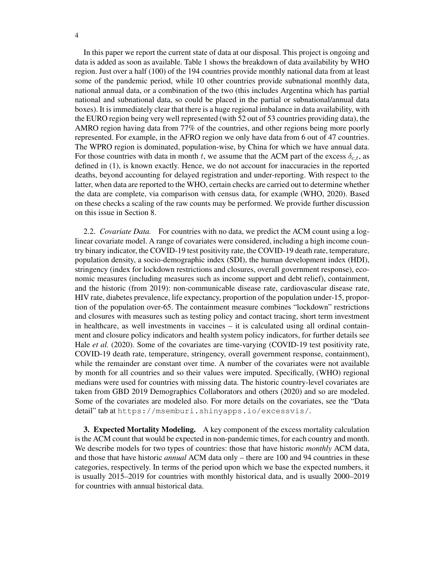In this paper we report the current state of data at our disposal. This project is ongoing and data is added as soon as available. Table 1 shows the breakdown of data availability by WHO region. Just over a half (100) of the 194 countries provide monthly national data from at least some of the pandemic period, while 10 other countries provide subnational monthly data, national annual data, or a combination of the two (this includes Argentina which has partial national and subnational data, so could be placed in the partial or subnational/annual data boxes). It is immediately clear that there is a huge regional imbalance in data availability, with the EURO region being very well represented (with 52 out of 53 countries providing data), the AMRO region having data from 77% of the countries, and other regions being more poorly represented. For example, in the AFRO region we only have data from 6 out of 47 countries. The WPRO region is dominated, population-wise, by China for which we have annual data. For those countries with data in month t, we assume that the ACM part of the excess  $\delta_{c,t}$ , as defined in (1), is known exactly. Hence, we do not account for inaccuracies in the reported deaths, beyond accounting for delayed registration and under-reporting. With respect to the latter, when data are reported to the WHO, certain checks are carried out to determine whether the data are complete, via comparison with census data, for example (WHO, 2020). Based on these checks a scaling of the raw counts may be performed. We provide further discussion on this issue in Section 8.

2.2. *Covariate Data.* For countries with no data, we predict the ACM count using a loglinear covariate model. A range of covariates were considered, including a high income country binary indicator, the COVID-19 test positivity rate, the COVID-19 death rate, temperature, population density, a socio-demographic index (SDI), the human development index (HDI), stringency (index for lockdown restrictions and closures, overall government response), economic measures (including measures such as income support and debt relief), containment, and the historic (from 2019): non-communicable disease rate, cardiovascular disease rate, HIV rate, diabetes prevalence, life expectancy, proportion of the population under-15, proportion of the population over-65. The containment measure combines "lockdown" restrictions and closures with measures such as testing policy and contact tracing, short term investment in healthcare, as well investments in vaccines – it is calculated using all ordinal containment and closure policy indicators and health system policy indicators, for further details see Hale *et al.* (2020). Some of the covariates are time-varying (COVID-19 test positivity rate, COVID-19 death rate, temperature, stringency, overall government response, containment), while the remainder are constant over time. A number of the covariates were not available by month for all countries and so their values were imputed. Specifically, (WHO) regional medians were used for countries with missing data. The historic country-level covariates are taken from GBD 2019 Demographics Collaborators and others (2020) and so are modeled. Some of the covariates are modeled also. For more details on the covariates, see the "Data detail" tab at https://msemburi.shinyapps.io/excessvis/.

3. Expected Mortality Modeling. A key component of the excess mortality calculation is the ACM count that would be expected in non-pandemic times, for each country and month. We describe models for two types of countries: those that have historic *monthly* ACM data, and those that have historic *annual* ACM data only – there are 100 and 94 countries in these categories, respectively. In terms of the period upon which we base the expected numbers, it is usually 2015–2019 for countries with monthly historical data, and is usually 2000–2019 for countries with annual historical data.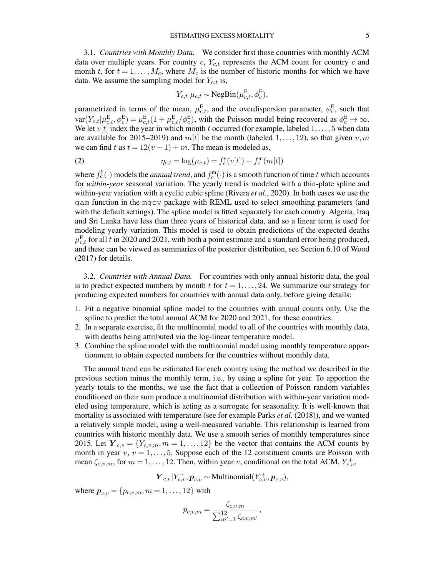3.1. *Countries with Monthly Data.* We consider first those countries with monthly ACM data over multiple years. For country c,  $Y_{c,t}$  represents the ACM count for country c and month t, for  $t = 1, \ldots, M_c$ , where  $M_c$  is the number of historic months for which we have data. We assume the sampling model for  $Y_{c,t}$  is,

$$
Y_{c,t}|\mu_{c,t} \sim \text{NegBin}(\mu_{c,t}^{\text{E}}, \phi_c^{\text{E}}),
$$

parametrized in terms of the mean,  $\mu_{c,t}^{\text{E}}$ , and the overdispersion parameter,  $\phi_c^{\text{E}}$ , such that  $var(Y_{c,t}|\mu_{c,t}^{E}, \phi_{c}^{E}) = \mu_{c,t}^{E}(1 + \mu_{c,t}^{E}/\phi_{c}^{E})$ , with the Poisson model being recovered as  $\phi_{c}^{E} \to \infty$ . We let  $v[t]$  index the year in which month t occurred (for example, labeled  $1, \ldots, 5$  when data are available for 2015–2019) and  $m[t]$  be the month (labeled 1, ..., 12), so that given v, m we can find t as  $t = 12(v - 1) + m$ . The mean is modeled as,

(2) 
$$
\eta_{c,t} = \log(\mu_{c,t}) = f_c^{\rm y}(v[t]) + f_c^{\rm m}(m[t])
$$

where  $f_c^y(\cdot)$  models the *annual trend*, and  $f_c^m(\cdot)$  is a smooth function of time t which accounts for *within-year* seasonal variation. The yearly trend is modeled with a thin-plate spline and within-year variation with a cyclic cubic spline (Rivera *et al.*, 2020). In both cases we use the gam function in the mgcv package with REML used to select smoothing parameters (and with the default settings). The spline model is fitted separately for each country. Algeria, Iraq and Sri Lanka have less than three years of historical data, and so a linear term is used for modeling yearly variation. This model is used to obtain predictions of the expected deaths  $\mu_{c,t}^{\rm E}$  for all  $t$  in 2020 and 2021, with both a point estimate and a standard error being produced, and these can be viewed as summaries of the posterior distribution, see Section 6.10 of Wood (2017) for details.

3.2. *Countries with Annual Data.* For countries with only annual historic data, the goal is to predict expected numbers by month t for  $t = 1, \ldots, 24$ . We summarize our strategy for producing expected numbers for countries with annual data only, before giving details:

- 1. Fit a negative binomial spline model to the countries with annual counts only. Use the spline to predict the total annual ACM for 2020 and 2021, for these countries.
- 2. In a separate exercise, fit the multinomial model to all of the countries with monthly data, with deaths being attributed via the log-linear temperature model.
- 3. Combine the spline model with the multinomial model using monthly temperature apportionment to obtain expected numbers for the countries without monthly data.

The annual trend can be estimated for each country using the method we described in the previous section minus the monthly term, i.e., by using a spline for year. To apportion the yearly totals to the months, we use the fact that a collection of Poisson random variables conditioned on their sum produce a multinomial distribution with within-year variation modeled using temperature, which is acting as a surrogate for seasonality. It is well-known that mortality is associated with temperature (see for example Parks *et al.* (2018)), and we wanted a relatively simple model, using a well-measured variable. This relationship is learned from countries with historic monthly data. We use a smooth series of monthly temperatures since 2015. Let  $Y_{c,v} = \{Y_{c,v,m}, m = 1, \ldots, 12\}$  be the vector that contains the ACM counts by month in year  $v, v = 1, \ldots, 5$ . Suppose each of the 12 constituent counts are Poisson with mean  $\zeta_{c,v,m}$ , for  $m = 1, \ldots, 12$ . Then, within year v, conditional on the total ACM,  $Y_{c,v}^+$ ,

$$
\boldsymbol{Y}_{c,v}|Y_{c,v}^+, \boldsymbol{p}_{c,v} \sim \text{Multinomial}(Y_{c,v}^+, \boldsymbol{p}_{c,v}),
$$

where  $p_{c,v} = \{p_{c,v,m}, m = 1, ..., 12\}$  with

$$
p_{c,v,m} = \frac{\zeta_{c,v,m}}{\sum_{m'=1}^{12} \zeta_{c,v,m'}}
$$

,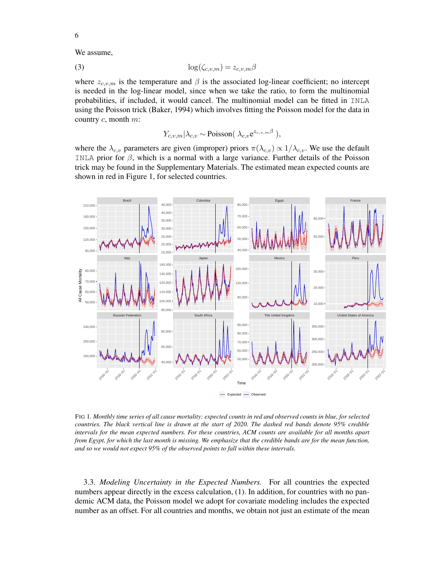We assume,

$$
\log(\zeta_{c,v,m}) = z_{c,v,m}\beta
$$

where  $z_{c,v,m}$  is the temperature and  $\beta$  is the associated log-linear coefficient; no intercept is needed in the log-linear model, since when we take the ratio, to form the multinomial probabilities, if included, it would cancel. The multinomial model can be fitted in INLA using the Poisson trick (Baker, 1994) which involves fitting the Poisson model for the data in country c, month m:

$$
Y_{c,v,m}|\lambda_{c,v} \sim \text{Poisson}(\lambda_{c,v}e^{z_{c,v,m}\beta}),
$$

where the  $\lambda_{c,v}$  parameters are given (improper) priors  $\pi(\lambda_{c,v}) \propto 1/\lambda_{c,v}$ . We use the default INLA prior for  $\beta$ , which is a normal with a large variance. Further details of the Poisson trick may be found in the Supplementary Materials. The estimated mean expected counts are shown in red in Figure 1, for selected countries.



FIG 1*. Monthly time series of all cause mortality: expected counts in red and observed counts in blue, for selected countries. The black vertical line is drawn at the start of 2020. The dashed red bands denote 95% credible intervals for the mean expected numbers. For these countries, ACM counts are available for all months apart from Egypt, for which the last month is missing. We emphasize that the credible bands are for the mean function, and so we would not expect 95% of the observed points to fall within these intervals.*

3.3. *Modeling Uncertainty in the Expected Numbers.* For all countries the expected numbers appear directly in the excess calculation, (1). In addition, for countries with no pandemic ACM data, the Poisson model we adopt for covariate modeling includes the expected number as an offset. For all countries and months, we obtain not just an estimate of the mean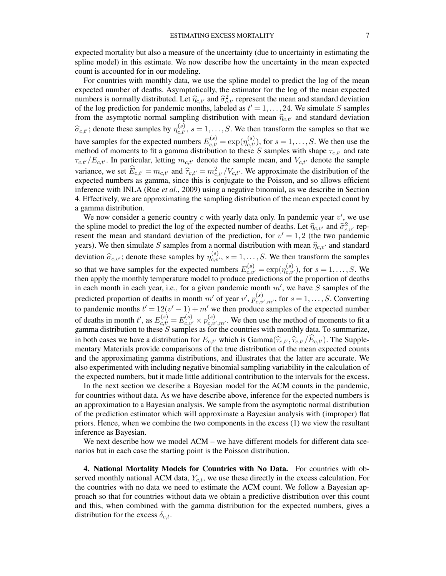expected mortality but also a measure of the uncertainty (due to uncertainty in estimating the spline model) in this estimate. We now describe how the uncertainty in the mean expected count is accounted for in our modeling.

For countries with monthly data, we use the spline model to predict the log of the mean expected number of deaths. Asymptotically, the estimator for the log of the mean expected numbers is normally distributed. Let  $\hat{\eta}_{c,t'}$  and  $\hat{\sigma}_{c,t'}^2$  represent the mean and standard deviation<br>of the log prediction for pandemic months, labeled as  $t' = 1$ , 24. We simulate S samples of the log prediction for pandemic months, labeled as  $t' = 1, \ldots, 24$ . We simulate S samples from the asymptotic normal sampling distribution with mean  $\hat{\eta}_{c,t'}$  and standard deviation  $\widehat{\sigma}_{c,t'}$ ; denote these samples by  $\eta_{c,t'}^{(s)}$ ,  $s = 1, \ldots, S$ . We then transform the samples so that we have samples for the expected numbers  $E_{c,t'}^{(s)} = \exp(\eta_{c,t'}^{(s)})$ , for  $s = 1, ..., S$ . We then use the method of moments to fit a gamma distribution to these S samples with shape  $\tau_{c,t'}$  and rate  $\tau_{c,t'}/E_{c,t'}$ . In particular, letting  $m_{c,t'}$  denote the sample mean, and  $V_{c,t'}$  denote the sample variance, we set  $\widehat{E}_{c,t'} = m_{c,t'}$  and  $\widehat{\tau}_{c,t'} = m_{c,t'}^2 / V_{c,t'}$ . We approximate the distribution of the expected numbers as gamma, since this is conjugate to the Poisson, and so allows efficient expected numbers as gamma, since this is conjugate to the Poisson, and so allows efficient inference with INLA (Rue *et al.*, 2009) using a negative binomial, as we describe in Section 4. Effectively, we are approximating the sampling distribution of the mean expected count by a gamma distribution.

We now consider a generic country  $c$  with yearly data only. In pandemic year  $v'$ , we use the spline model to predict the log of the expected number of deaths. Let  $\hat{\eta}_{c,v'}$  and  $\hat{\sigma}_{c,v'}^2$  rep-<br>resent the mean and standard deviation of the prediction for  $v' = 1, 2$  (the two pandemic resent the mean and standard deviation of the prediction, for  $v' = 1, 2$  (the two pandemic years). We then simulate S samples from a normal distribution with mean  $\hat{\eta}_{c,v'}$  and standard deviation  $\hat{\sigma}_{c,v'}$ ; denote these samples by  $\eta_{c,v'}^{(s)}$ ,  $s = 1, \ldots, S$ . We then transform the samples so that we have samples for the expected numbers  $E_{c,v'}^{(s)} = \exp(\eta_{c,v'}^{(s)})$ , for  $s = 1, ..., S$ . We then apply the monthly temperature model to produce predictions of the proportion of deaths in each month in each year, i.e., for a given pandemic month  $m'$ , we have  $\overline{S}$  samples of the predicted proportion of deaths in month m' of year  $v'$ ,  $p_{c,v}^{(s)}$  $c_{c,v',m'}^{(s)}$ , for  $s = 1, \ldots, S$ . Converting to pandemic months  $t' = 12(v' - 1) + m'$  we then produce samples of the expected number of deaths in month t', as  $E_{c,t'}^{(s)} = E_{c,v'}^{(s)} \times p_{c,v}^{(s)}$  $c_{c,v',m'}^{(s)}$ . We then use the method of moments to fit a gamma distribution to these  $S$  samples as for the countries with monthly data. To summarize, in both cases we have a distribution for  $E_{c,t'}$  which is Gamma $(\hat{\tau}_{c,t'}, \hat{\tau}_{c,t'}/E_{c,t'})$ . The Supplementary Materials provide comparisons of the true distribution of the mean expected counts and the approximating gamma distributions, and illustrates that the latter are accurate. We also experimented with including negative binomial sampling variability in the calculation of the expected numbers, but it made little additional contribution to the intervals for the excess.

In the next section we describe a Bayesian model for the ACM counts in the pandemic, for countries without data. As we have describe above, inference for the expected numbers is an approximation to a Bayesian analysis. We sample from the asymptotic normal distribution of the prediction estimator which will approximate a Bayesian analysis with (improper) flat priors. Hence, when we combine the two components in the excess (1) we view the resultant inference as Bayesian.

We next describe how we model ACM – we have different models for different data scenarios but in each case the starting point is the Poisson distribution.

4. National Mortality Models for Countries with No Data. For countries with observed monthly national ACM data,  $Y_{c,t}$ , we use these directly in the excess calculation. For the countries with no data we need to estimate the ACM count. We follow a Bayesian approach so that for countries without data we obtain a predictive distribution over this count and this, when combined with the gamma distribution for the expected numbers, gives a distribution for the excess  $\delta_{c,t}$ .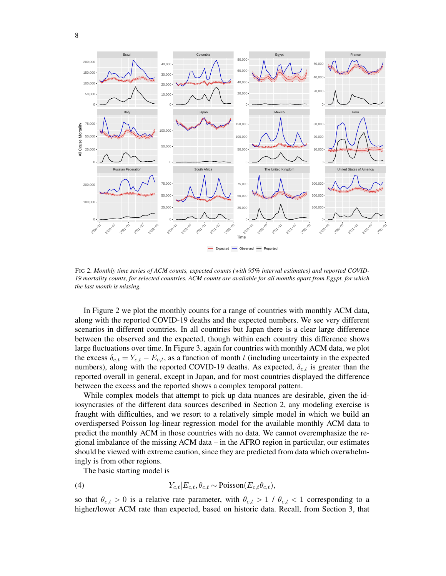

FIG 2*. Monthly time series of ACM counts, expected counts (with 95% interval estimates) and reported COVID-19 mortality counts, for selected countries. ACM counts are available for all months apart from Egypt, for which the last month is missing.*

In Figure 2 we plot the monthly counts for a range of countries with monthly ACM data, along with the reported COVID-19 deaths and the expected numbers. We see very different scenarios in different countries. In all countries but Japan there is a clear large difference between the observed and the expected, though within each country this difference shows large fluctuations over time. In Figure 3, again for countries with monthly ACM data, we plot the excess  $\delta_{c,t} = Y_{c,t} - E_{c,t}$ , as a function of month t (including uncertainty in the expected numbers), along with the reported COVID-19 deaths. As expected,  $\delta_{c,t}$  is greater than the reported overall in general, except in Japan, and for most countries displayed the difference between the excess and the reported shows a complex temporal pattern.

While complex models that attempt to pick up data nuances are desirable, given the idiosyncrasies of the different data sources described in Section 2, any modeling exercise is fraught with difficulties, and we resort to a relatively simple model in which we build an overdispersed Poisson log-linear regression model for the available monthly ACM data to predict the monthly ACM in those countries with no data. We cannot overemphasize the regional imbalance of the missing ACM data – in the AFRO region in particular, our estimates should be viewed with extreme caution, since they are predicted from data which overwhelmingly is from other regions.

The basic starting model is

(4) 
$$
Y_{c,t}|E_{c,t}, \theta_{c,t} \sim \text{Poisson}(E_{c,t}\theta_{c,t}),
$$

so that  $\theta_{c,t} > 0$  is a relative rate parameter, with  $\theta_{c,t} > 1 / \theta_{c,t} < 1$  corresponding to a higher/lower ACM rate than expected, based on historic data. Recall, from Section 3, that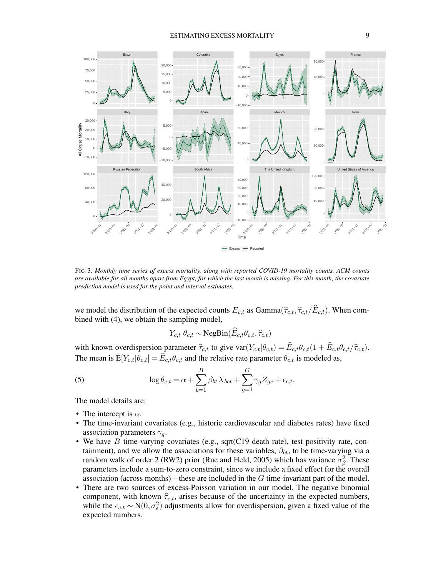

FIG 3*. Monthly time series of excess mortality, along with reported COVID-19 mortality counts. ACM counts are available for all months apart from Egypt, for which the last month is missing. For this month, the covariate prediction model is used for the point and interval estimates.*

we model the distribution of the expected counts  $E_{c,t}$  as Gamma $(\hat{\tau}_{c,t}, \hat{\tau}_{c,t}/\hat{E}_{c,t})$ . When combined with (4), we obtain the sampling model,

$$
Y_{c,t}|\theta_{c,t} \sim \text{NegBin}(\widehat{E}_{c,t}\theta_{c,t},\widehat{\tau}_{c,t})
$$

with known overdispersion parameter  $\hat{\tau}_{c,t}$  to give var $(Y_{c,t}|\theta_{c,t}) = \hat{E}_{c,t}\theta_{c,t}(1 + \hat{E}_{c,t}\theta_{c,t}/\hat{\tau}_{c,t}).$ The mean is  $E[Y_{c,t}|\theta_{c,t}] = \widehat{E}_{c,t}\theta_{c,t}$  and the relative rate parameter  $\theta_{c,t}$  is modeled as,

(5) 
$$
\log \theta_{c,t} = \alpha + \sum_{b=1}^{B} \beta_{bt} X_{bct} + \sum_{g=1}^{G} \gamma_g Z_{gc} + \epsilon_{c,t}.
$$

The model details are:

- The intercept is  $\alpha$ .
- The time-invariant covariates (e.g., historic cardiovascular and diabetes rates) have fixed association parameters  $\gamma_q$ .
- We have  $B$  time-varying covariates (e.g., sqrt(C19 death rate), test positivity rate, containment), and we allow the associations for these variables,  $\beta_{bt}$ , to be time-varying via a random walk of order 2 (RW2) prior (Rue and Held, 2005) which has variance  $\sigma_{\beta}^2$ . These parameters include a sum-to-zero constraint, since we include a fixed effect for the overall association (across months) – these are included in the  $G$  time-invariant part of the model.
- There are two sources of excess-Poisson variation in our model. The negative binomial component, with known  $\hat{\tau}_{c,t}$ , arises because of the uncertainty in the expected numbers, while the  $\epsilon_{c,t} \sim N(0, \sigma_{\epsilon}^2)$  adjustments allow for overdispersion, given a fixed value of the expected numbers.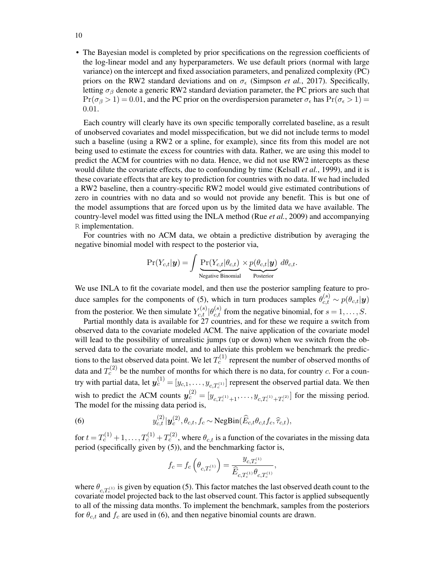• The Bayesian model is completed by prior specifications on the regression coefficients of the log-linear model and any hyperparameters. We use default priors (normal with large variance) on the intercept and fixed association parameters, and penalized complexity (PC) priors on the RW2 standard deviations and on  $\sigma_{\epsilon}$  (Simpson *et al.*, 2017). Specifically, letting  $\sigma_\beta$  denote a generic RW2 standard deviation parameter, the PC priors are such that  $Pr(\sigma_{\beta} > 1) = 0.01$ , and the PC prior on the overdispersion parameter  $\sigma_{\epsilon}$  has  $Pr(\sigma_{\epsilon} > 1) =$ 0.01.

Each country will clearly have its own specific temporally correlated baseline, as a result of unobserved covariates and model misspecification, but we did not include terms to model such a baseline (using a RW2 or a spline, for example), since fits from this model are not being used to estimate the excess for countries with data. Rather, we are using this model to predict the ACM for countries with no data. Hence, we did not use RW2 intercepts as these would dilute the covariate effects, due to confounding by time (Kelsall *et al.*, 1999), and it is these covariate effects that are key to prediction for countries with no data. If we had included a RW2 baseline, then a country-specific RW2 model would give estimated contributions of zero in countries with no data and so would not provide any benefit. This is but one of the model assumptions that are forced upon us by the limited data we have available. The country-level model was fitted using the INLA method (Rue *et al.*, 2009) and accompanying R implementation.

For countries with no ACM data, we obtain a predictive distribution by averaging the negative binomial model with respect to the posterior via,

$$
\Pr(Y_{c,t}|\mathbf{y}) = \int \underbrace{\Pr(Y_{c,t}|\theta_{c,t})}_{\text{Negative Binomial}} \times \underbrace{p(\theta_{c,t}|\mathbf{y})}_{\text{Posterior}} d\theta_{c,t}.
$$

We use INLA to fit the covariate model, and then use the posterior sampling feature to produce samples for the components of (5), which in turn produces samples  $\theta_{c,t}^{(s)} \sim p(\theta_{c,t}|\mathbf{y})$ from the posterior. We then simulate  $Y_{c,t}^{(s)} | \theta_{c,t}^{(s)}$  from the negative binomial, for  $s = 1, \ldots, S$ .

Partial monthly data is available for 27 countries, and for these we require a switch from observed data to the covariate modeled ACM. The naive application of the covariate model will lead to the possibility of unrealistic jumps (up or down) when we switch from the observed data to the covariate model, and to alleviate this problem we benchmark the predictions to the last observed data point. We let  $T_c^{(1)}$  represent the number of observed months of data and  $T_c^{(2)}$  be the number of months for which there is no data, for country c. For a country with partial data, let  $\bm{y}_c^{(1)} = [y_{c,1}, \dots, y_{c,T_c^{(1)}}]$  represent the observed partial data. We then wish to predict the ACM counts  $y_c^{(2)} = [y_{c,T_c^{(1)}+1}, \ldots, y_{c,T_c^{(1)}+T_c^{(2)}}]$  for the missing period. The model for the missing data period is,

(6) 
$$
y_{c,t}^{(2)}|\mathbf{y}_c^{(2)},\theta_{c,t},f_c \sim \text{NegBin}(\widehat{E}_{c,t}\theta_{c,t}f_c,\widehat{\tau}_{c,t}),
$$

for  $t = T_c^{(1)} + 1, \ldots, T_c^{(1)} + T_c^{(2)}$ , where  $\theta_{c,t}$  is a function of the covariates in the missing data period (specifically given by (5)), and the benchmarking factor is,

$$
f_c = f_c \left( \theta_{c,T_c^{(1)}} \right) = \frac{y_{c,T_c^{(1)}}}{\widehat{E}_{c,T_c^{(1)}} \theta_{c,T_c^{(1)}}},
$$

where  $\theta_{c,T_c^{(1)}}$  is given by equation (5). This factor matches the last observed death count to the covariate model projected back to the last observed count. This factor is applied subsequently to all of the missing data months. To implement the benchmark, samples from the posteriors for  $\theta_{c,t}$  and  $f_c$  are used in (6), and then negative binomial counts are drawn.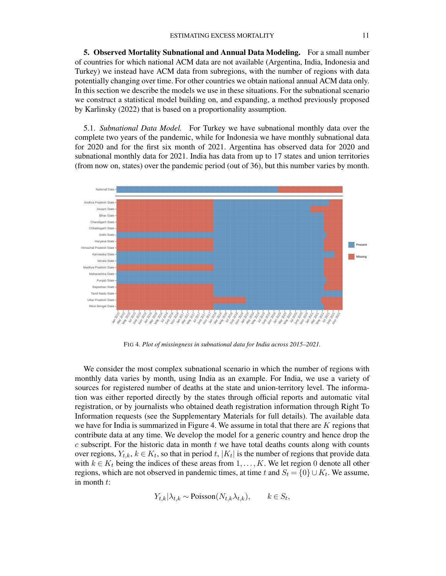5. Observed Mortality Subnational and Annual Data Modeling. For a small number of countries for which national ACM data are not available (Argentina, India, Indonesia and Turkey) we instead have ACM data from subregions, with the number of regions with data potentially changing over time. For other countries we obtain national annual ACM data only. In this section we describe the models we use in these situations. For the subnational scenario we construct a statistical model building on, and expanding, a method previously proposed by Karlinsky (2022) that is based on a proportionality assumption.

5.1. *Subnational Data Model.* For Turkey we have subnational monthly data over the complete two years of the pandemic, while for Indonesia we have monthly subnational data for 2020 and for the first six month of 2021. Argentina has observed data for 2020 and subnational monthly data for 2021. India has data from up to 17 states and union territories (from now on, states) over the pandemic period (out of 36), but this number varies by month.



FIG 4*. Plot of missingness in subnational data for India across 2015–2021.*

We consider the most complex subnational scenario in which the number of regions with monthly data varies by month, using India as an example. For India, we use a variety of sources for registered number of deaths at the state and union-territory level. The information was either reported directly by the states through official reports and automatic vital registration, or by journalists who obtained death registration information through Right To Information requests (see the Supplementary Materials for full details). The available data we have for India is summarized in Figure 4. We assume in total that there are K regions that contribute data at any time. We develop the model for a generic country and hence drop the  $c$  subscript. For the historic data in month  $t$  we have total deaths counts along with counts over regions,  $Y_{t,k}$ ,  $k \in K_t$ , so that in period  $t$ ,  $|K_t|$  is the number of regions that provide data with  $k \in K_t$  being the indices of these areas from  $1, \ldots, K$ . We let region 0 denote all other regions, which are not observed in pandemic times, at time t and  $S_t = \{0\} \cup K_t$ . We assume, in month  $t$ :

$$
Y_{t,k}|\lambda_{t,k} \sim \text{Poisson}(N_{t,k}\lambda_{t,k}), \qquad k \in S_t,
$$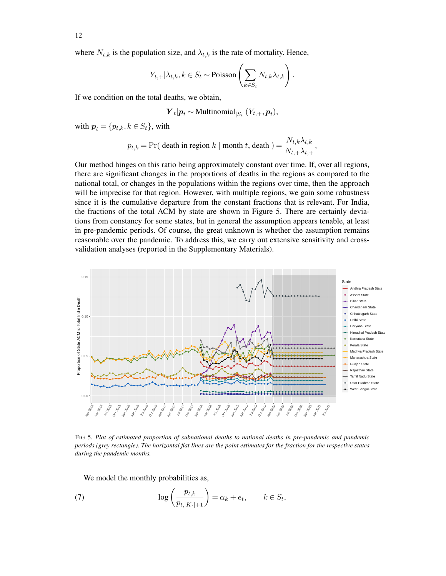where  $N_{t,k}$  is the population size, and  $\lambda_{t,k}$  is the rate of mortality. Hence,

$$
Y_{t,+}|\lambda_{t,k}, k \in S_t \sim \text{Poisson}\left(\sum_{k \in S_t} N_{t,k}\lambda_{t,k}\right).
$$

If we condition on the total deaths, we obtain,

$$
Y_t|p_t \sim \text{Multinomial}_{|S_t|}(Y_{t,+}, p_t),
$$

with  $p_t = \{p_{t,k}, k \in S_t\}$ , with

$$
p_{t,k} = \Pr(\text{ death in region } k \mid \text{month } t, \text{ death }) = \frac{N_{t,k} \lambda_{t,k}}{N_{t,+} \lambda_{t,+}},
$$

Our method hinges on this ratio being approximately constant over time. If, over all regions, there are significant changes in the proportions of deaths in the regions as compared to the national total, or changes in the populations within the regions over time, then the approach will be imprecise for that region. However, with multiple regions, we gain some robustness since it is the cumulative departure from the constant fractions that is relevant. For India, the fractions of the total ACM by state are shown in Figure 5. There are certainly deviations from constancy for some states, but in general the assumption appears tenable, at least in pre-pandemic periods. Of course, the great unknown is whether the assumption remains reasonable over the pandemic. To address this, we carry out extensive sensitivity and crossvalidation analyses (reported in the Supplementary Materials).



FIG 5*. Plot of estimated proportion of subnational deaths to national deaths in pre-pandemic and pandemic periods (grey rectangle). The horizontal flat lines are the point estimates for the fraction for the respective states during the pandemic months.*

We model the monthly probabilities as,

(7) 
$$
\log\left(\frac{p_{t,k}}{p_{t,|K_t|+1}}\right) = \alpha_k + e_t, \qquad k \in S_t,
$$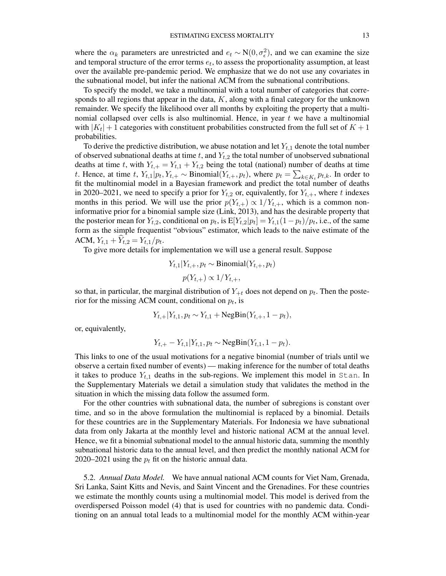where the  $\alpha_k$  parameters are unrestricted and  $e_t \sim N(0, \sigma_{\epsilon}^2)$ , and we can examine the size and temporal structure of the error terms  $e_t$ , to assess the proportionality assumption, at least over the available pre-pandemic period. We emphasize that we do not use any covariates in the subnational model, but infer the national ACM from the subnational contributions.

To specify the model, we take a multinomial with a total number of categories that corresponds to all regions that appear in the data,  $K$ , along with a final category for the unknown remainder. We specify the likelihood over all months by exploiting the property that a multinomial collapsed over cells is also multinomial. Hence, in year  $t$  we have a multinomial with  $|K_t| + 1$  categories with constituent probabilities constructed from the full set of  $K + 1$ probabilities.

To derive the predictive distribution, we abuse notation and let  $Y_{t,1}$  denote the total number of observed subnational deaths at time t, and  $Y_{t,2}$  the total number of unobserved subnational deaths at time t, with  $Y_{t,+} = Y_{t,1} + Y_{t,2}$  being the total (national) number of deaths at time t. Hence, at time t,  $Y_{t,1}|p_t, Y_{t,+} \sim \text{Binomial}(Y_{t,+}, p_t)$ , where  $p_t = \sum_{k \in K_t} p_{t,k}$ . In order to fit the multinomial model in a Bayesian framework and predict the total number of deaths in 2020–2021, we need to specify a prior for  $Y_{t,2}$  or, equivalently, for  $Y_{t,+}$ , where t indexes months in this period. We will use the prior  $p(Y_{t,+}) \propto 1/Y_{t,+}$ , which is a common noninformative prior for a binomial sample size (Link, 2013), and has the desirable property that the posterior mean for  $Y_{t,2}$ , conditional on  $p_t$ , is  $E[Y_{t,2}|p_t] = Y_{t,1}(1-p_t)/p_t$ , i.e., of the same form as the simple frequentist "obvious" estimator, which leads to the naive estimate of the ACM,  $Y_{t,1} + Y_{t,2} = Y_{t,1}/p_t$ .

To give more details for implementation we will use a general result. Suppose

$$
Y_{t,1}|Y_{t,+}, p_t \sim \text{Binomial}(Y_{t,+}, p_t)
$$

$$
p(Y_{t,+}) \propto 1/Y_{t,+},
$$

so that, in particular, the marginal distribution of  $Y_{+t}$  does not depend on  $p_t$ . Then the posterior for the missing ACM count, conditional on  $p_t$ , is

$$
Y_{t,+}|Y_{t,1}, p_t \sim Y_{t,1} + \text{NegBin}(Y_{t,+}, 1 - p_t),
$$

or, equivalently,

$$
Y_{t,+} - Y_{t,1} | Y_{t,1}, p_t \sim \text{NegBin}(Y_{t,1}, 1 - p_t).
$$

This links to one of the usual motivations for a negative binomial (number of trials until we observe a certain fixed number of events) — making inference for the number of total deaths it takes to produce  $Y_{t,1}$  deaths in the sub-regions. We implement this model in Stan. In the Supplementary Materials we detail a simulation study that validates the method in the situation in which the missing data follow the assumed form.

For the other countries with subnational data, the number of subregions is constant over time, and so in the above formulation the multinomial is replaced by a binomial. Details for these countries are in the Supplementary Materials. For Indonesia we have subnational data from only Jakarta at the monthly level and historic national ACM at the annual level. Hence, we fit a binomial subnational model to the annual historic data, summing the monthly subnational historic data to the annual level, and then predict the monthly national ACM for 2020–2021 using the  $p_t$  fit on the historic annual data.

5.2. *Annual Data Model.* We have annual national ACM counts for Viet Nam, Grenada, Sri Lanka, Saint Kitts and Nevis, and Saint Vincent and the Grenadines. For these countries we estimate the monthly counts using a multinomial model. This model is derived from the overdispersed Poisson model (4) that is used for countries with no pandemic data. Conditioning on an annual total leads to a multinomial model for the monthly ACM within-year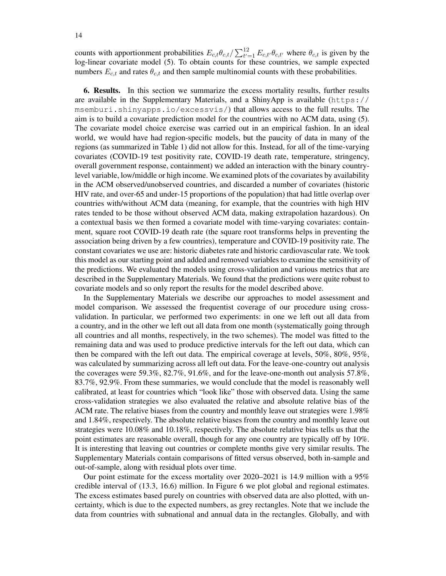counts with apportionment probabilities  $E_{c,t} \theta_{c,t} / \sum_{t'=1}^{12} E_{c,t'} \theta_{c,t'}$  where  $\theta_{c,t}$  is given by the log-linear covariate model (5). To obtain counts for these countries, we sample expected numbers  $E_{c,t}$  and rates  $\theta_{c,t}$  and then sample multinomial counts with these probabilities.

6. Results. In this section we summarize the excess mortality results, further results are available in the Supplementary Materials, and a ShinyApp is available (https:// msemburi.shinyapps.io/excessvis/) that allows access to the full results. The aim is to build a covariate prediction model for the countries with no ACM data, using (5). The covariate model choice exercise was carried out in an empirical fashion. In an ideal world, we would have had region-specific models, but the paucity of data in many of the regions (as summarized in Table 1) did not allow for this. Instead, for all of the time-varying covariates (COVID-19 test positivity rate, COVID-19 death rate, temperature, stringency, overall government response, containment) we added an interaction with the binary countrylevel variable, low/middle or high income. We examined plots of the covariates by availability in the ACM observed/unobserved countries, and discarded a number of covariates (historic HIV rate, and over-65 and under-15 proportions of the population) that had little overlap over countries with/without ACM data (meaning, for example, that the countries with high HIV rates tended to be those without observed ACM data, making extrapolation hazardous). On a contextual basis we then formed a covariate model with time-varying covariates: containment, square root COVID-19 death rate (the square root transforms helps in preventing the association being driven by a few countries), temperature and COVID-19 positivity rate. The constant covariates we use are: historic diabetes rate and historic cardiovascular rate. We took this model as our starting point and added and removed variables to examine the sensitivity of the predictions. We evaluated the models using cross-validation and various metrics that are described in the Supplementary Materials. We found that the predictions were quite robust to covariate models and so only report the results for the model described above.

In the Supplementary Materials we describe our approaches to model assessment and model comparison. We assessed the frequentist coverage of our procedure using crossvalidation. In particular, we performed two experiments: in one we left out all data from a country, and in the other we left out all data from one month (systematically going through all countries and all months, respectively, in the two schemes). The model was fitted to the remaining data and was used to produce predictive intervals for the left out data, which can then be compared with the left out data. The empirical coverage at levels, 50%, 80%, 95%, was calculated by summarizing across all left out data. For the leave-one-country out analysis the coverages were 59.3%, 82.7%, 91.6%, and for the leave-one-month out analysis 57.8%, 83.7%, 92.9%. From these summaries, we would conclude that the model is reasonably well calibrated, at least for countries which "look like" those with observed data. Using the same cross-validation strategies we also evaluated the relative and absolute relative bias of the ACM rate. The relative biases from the country and monthly leave out strategies were 1.98% and 1.84%, respectively. The absolute relative biases from the country and monthly leave out strategies were 10.08% and 10.18%, respectively. The absolute relative bias tells us that the point estimates are reasonable overall, though for any one country are typically off by 10%. It is interesting that leaving out countries or complete months give very similar results. The Supplementary Materials contain comparisons of fitted versus observed, both in-sample and out-of-sample, along with residual plots over time.

Our point estimate for the excess mortality over 2020–2021 is 14.9 million with a 95% credible interval of (13.3, 16.6) million. In Figure 6 we plot global and regional estimates. The excess estimates based purely on countries with observed data are also plotted, with uncertainty, which is due to the expected numbers, as grey rectangles. Note that we include the data from countries with subnational and annual data in the rectangles. Globally, and with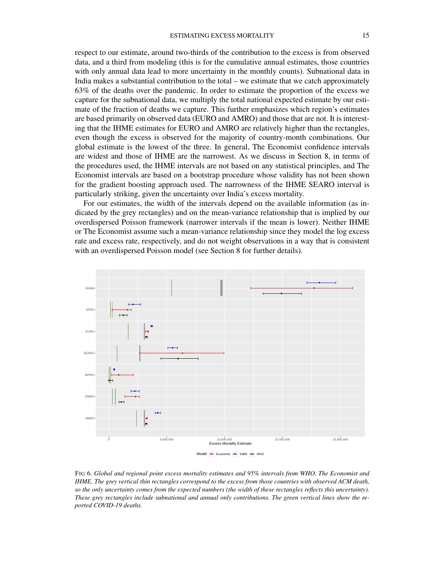respect to our estimate, around two-thirds of the contribution to the excess is from observed data, and a third from modeling (this is for the cumulative annual estimates, those countries with only annual data lead to more uncertainty in the monthly counts). Subnational data in India makes a substantial contribution to the total – we estimate that we catch approximately 63% of the deaths over the pandemic. In order to estimate the proportion of the excess we capture for the subnational data, we multiply the total national expected estimate by our estimate of the fraction of deaths we capture. This further emphasizes which region's estimates are based primarily on observed data (EURO and AMRO) and those that are not. It is interesting that the IHME estimates for EURO and AMRO are relatively higher than the rectangles, even though the excess is observed for the majority of country-month combinations. Our global estimate is the lowest of the three. In general, The Economist confidence intervals are widest and those of IHME are the narrowest. As we discuss in Section 8, in terms of the procedures used, the IHME intervals are not based on any statistical principles, and The Economist intervals are based on a bootstrap procedure whose validity has not been shown for the gradient boosting approach used. The narrowness of the IHME SEARO interval is particularly striking, given the uncertainty over India's excess mortality.

For our estimates, the width of the intervals depend on the available information (as indicated by the grey rectangles) and on the mean-variance relationship that is implied by our overdispersed Poisson framework (narrower intervals if the mean is lower). Neither IHME or The Economist assume such a mean-variance relationship since they model the log excess rate and excess rate, respectively, and do not weight observations in a way that is consistent with an overdispersed Poisson model (see Section 8 for further details).



FIG 6*. Global and regional point excess mortality estimates and 95% intervals from WHO, The Economist and IHME. The grey vertical thin rectangles correspond to the excess from those countries with observed ACM death, so the only uncertainty comes from the expected numbers (the width of these rectangles reflects this uncertainty). These grey rectangles include subnational and annual only contributions. The green vertical lines show the reported COVID-19 deaths.*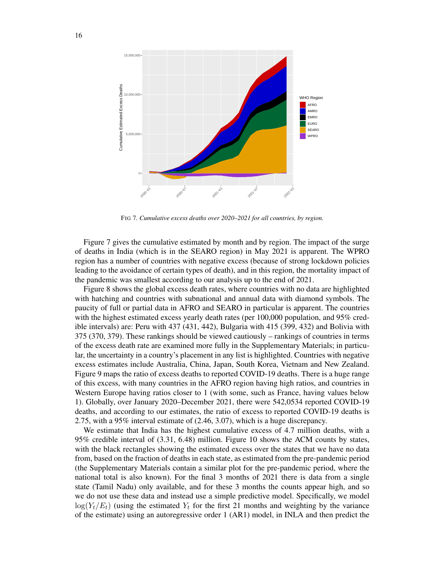

FIG 7*. Cumulative excess deaths over 2020–2021 for all countries, by region.*

Figure 7 gives the cumulative estimated by month and by region. The impact of the surge of deaths in India (which is in the SEARO region) in May 2021 is apparent. The WPRO region has a number of countries with negative excess (because of strong lockdown policies leading to the avoidance of certain types of death), and in this region, the mortality impact of the pandemic was smallest according to our analysis up to the end of 2021.

Figure 8 shows the global excess death rates, where countries with no data are highlighted with hatching and countries with subnational and annual data with diamond symbols. The paucity of full or partial data in AFRO and SEARO in particular is apparent. The countries with the highest estimated excess yearly death rates (per 100,000 population, and 95% credible intervals) are: Peru with 437 (431, 442), Bulgaria with 415 (399, 432) and Bolivia with 375 (370, 379). These rankings should be viewed cautiously – rankings of countries in terms of the excess death rate are examined more fully in the Supplementary Materials; in particular, the uncertainty in a country's placement in any list is highlighted. Countries with negative excess estimates include Australia, China, Japan, South Korea, Vietnam and New Zealand. Figure 9 maps the ratio of excess deaths to reported COVID-19 deaths. There is a huge range of this excess, with many countries in the AFRO region having high ratios, and countries in Western Europe having ratios closer to 1 (with some, such as France, having values below 1). Globally, over January 2020–December 2021, there were 542,0534 reported COVID-19 deaths, and according to our estimates, the ratio of excess to reported COVID-19 deaths is 2.75, with a 95% interval estimate of (2.46, 3.07), which is a huge discrepancy.

We estimate that India has the highest cumulative excess of 4.7 million deaths, with a 95% credible interval of (3.31, 6.48) million. Figure 10 shows the ACM counts by states, with the black rectangles showing the estimated excess over the states that we have no data from, based on the fraction of deaths in each state, as estimated from the pre-pandemic period (the Supplementary Materials contain a similar plot for the pre-pandemic period, where the national total is also known). For the final 3 months of 2021 there is data from a single state (Tamil Nadu) only available, and for these 3 months the counts appear high, and so we do not use these data and instead use a simple predictive model. Specifically, we model  $log(Y_t/E_t)$  (using the estimated  $Y_t$  for the first 21 months and weighting by the variance of the estimate) using an autoregressive order 1 (AR1) model, in INLA and then predict the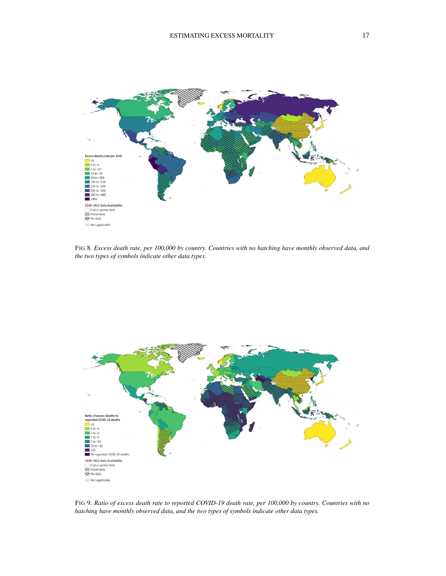

FIG 8*. Excess death rate, per 100,000 by country. Countries with no hatching have monthly observed data, and the two types of symbols indicate other data types.*



FIG 9*. Ratio of excess death rate to reported COVID-19 death rate, per 100,000 by country. Countries with no hatching have monthly observed data, and the two types of symbols indicate other data types.*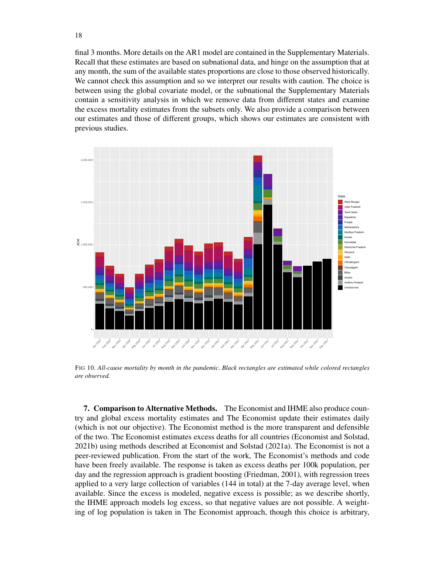final 3 months. More details on the AR1 model are contained in the Supplementary Materials. Recall that these estimates are based on subnational data, and hinge on the assumption that at any month, the sum of the available states proportions are close to those observed historically. We cannot check this assumption and so we interpret our results with caution. The choice is between using the global covariate model, or the subnational the Supplementary Materials contain a sensitivity analysis in which we remove data from different states and examine the excess mortality estimates from the subsets only. We also provide a comparison between our estimates and those of different groups, which shows our estimates are consistent with previous studies.



FIG 10*. All-cause mortality by month in the pandemic. Black rectangles are estimated while colored rectangles are observed.*

7. Comparison to Alternative Methods. The Economist and IHME also produce country and global excess mortality estimates and The Economist update their estimates daily (which is not our objective). The Economist method is the more transparent and defensible of the two. The Economist estimates excess deaths for all countries (Economist and Solstad, 2021b) using methods described at Economist and Solstad (2021a). The Economist is not a peer-reviewed publication. From the start of the work, The Economist's methods and code have been freely available. The response is taken as excess deaths per 100k population, per day and the regression approach is gradient boosting (Friedman, 2001), with regression trees applied to a very large collection of variables (144 in total) at the 7-day average level, when available. Since the excess is modeled, negative excess is possible; as we describe shortly, the IHME approach models log excess, so that negative values are not possible. A weighting of log population is taken in The Economist approach, though this choice is arbitrary,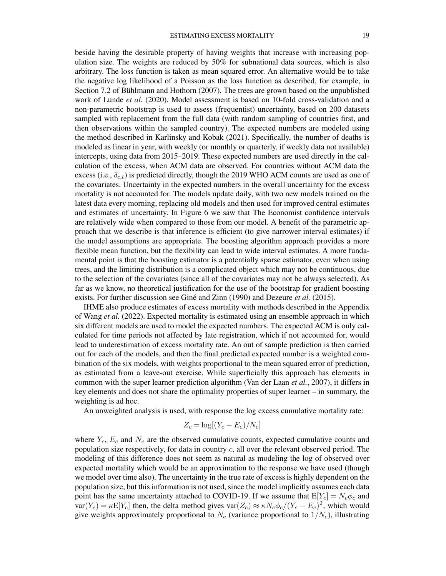beside having the desirable property of having weights that increase with increasing population size. The weights are reduced by 50% for subnational data sources, which is also arbitrary. The loss function is taken as mean squared error. An alternative would be to take the negative log likelihood of a Poisson as the loss function as described, for example, in Section 7.2 of Bühlmann and Hothorn (2007). The trees are grown based on the unpublished work of Lunde *et al.* (2020). Model assessment is based on 10-fold cross-validation and a non-parametric bootstrap is used to assess (frequentist) uncertainty, based on 200 datasets sampled with replacement from the full data (with random sampling of countries first, and then observations within the sampled country). The expected numbers are modeled using the method described in Karlinsky and Kobak (2021). Specifically, the number of deaths is modeled as linear in year, with weekly (or monthly or quarterly, if weekly data not available) intercepts, using data from 2015–2019. These expected numbers are used directly in the calculation of the excess, when ACM data are observed. For countries without ACM data the excess (i.e.,  $\delta_{c,t}$ ) is predicted directly, though the 2019 WHO ACM counts are used as one of the covariates. Uncertainty in the expected numbers in the overall uncertainty for the excess mortality is not accounted for. The models update daily, with two new models trained on the latest data every morning, replacing old models and then used for improved central estimates and estimates of uncertainty. In Figure 6 we saw that The Economist confidence intervals are relatively wide when compared to those from our model. A benefit of the parametric approach that we describe is that inference is efficient (to give narrower interval estimates) if the model assumptions are appropriate. The boosting algorithm approach provides a more flexible mean function, but the flexibility can lead to wide interval estimates. A more fundamental point is that the boosting estimator is a potentially sparse estimator, even when using trees, and the limiting distribution is a complicated object which may not be continuous, due to the selection of the covariates (since all of the covariates may not be always selected). As far as we know, no theoretical justification for the use of the bootstrap for gradient boosting exists. For further discussion see Giné and Zinn (1990) and Dezeure *et al.* (2015).

IHME also produce estimates of excess mortality with methods described in the Appendix of Wang *et al.* (2022). Expected mortality is estimated using an ensemble approach in which six different models are used to model the expected numbers. The expected ACM is only calculated for time periods not affected by late registration, which if not accounted for, would lead to underestimation of excess mortality rate. An out of sample prediction is then carried out for each of the models, and then the final predicted expected number is a weighted combination of the six models, with weights proportional to the mean squared error of prediction, as estimated from a leave-out exercise. While superficially this approach has elements in common with the super learner prediction algorithm (Van der Laan *et al.*, 2007), it differs in key elements and does not share the optimality properties of super learner – in summary, the weighting is ad hoc.

An unweighted analysis is used, with response the log excess cumulative mortality rate:

$$
Z_c = \log[(Y_c - E_c)/N_c]
$$

where  $Y_c$ ,  $E_c$  and  $N_c$  are the observed cumulative counts, expected cumulative counts and population size respectively, for data in country  $c$ , all over the relevant observed period. The modeling of this difference does not seem as natural as modeling the log of observed over expected mortality which would be an approximation to the response we have used (though we model over time also). The uncertainty in the true rate of excess is highly dependent on the population size, but this information is not used, since the model implicitly assumes each data point has the same uncertainty attached to COVID-19. If we assume that  $E[Y_c] = N_c \phi_c$  and  $var(Y_c) = \kappa E[Y_c]$  then, the delta method gives  $var(Z_c) \approx \kappa N_c \phi_c/(Y_c - E_c)^2$ , which would give weights approximately proportional to  $N_c$  (variance proportional to  $1/N_c$ ), illustrating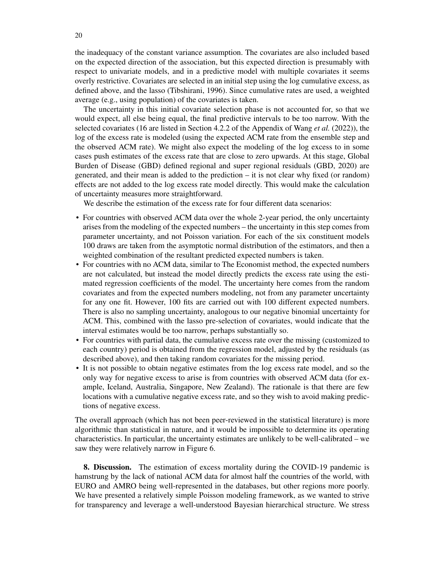the inadequacy of the constant variance assumption. The covariates are also included based on the expected direction of the association, but this expected direction is presumably with respect to univariate models, and in a predictive model with multiple covariates it seems overly restrictive. Covariates are selected in an initial step using the log cumulative excess, as defined above, and the lasso (Tibshirani, 1996). Since cumulative rates are used, a weighted average (e.g., using population) of the covariates is taken.

The uncertainty in this initial covariate selection phase is not accounted for, so that we would expect, all else being equal, the final predictive intervals to be too narrow. With the selected covariates (16 are listed in Section 4.2.2 of the Appendix of Wang *et al.* (2022)), the log of the excess rate is modeled (using the expected ACM rate from the ensemble step and the observed ACM rate). We might also expect the modeling of the log excess to in some cases push estimates of the excess rate that are close to zero upwards. At this stage, Global Burden of Disease (GBD) defined regional and super regional residuals (GBD, 2020) are generated, and their mean is added to the prediction – it is not clear why fixed (or random) effects are not added to the log excess rate model directly. This would make the calculation of uncertainty measures more straightforward.

We describe the estimation of the excess rate for four different data scenarios:

- For countries with observed ACM data over the whole 2-year period, the only uncertainty arises from the modeling of the expected numbers – the uncertainty in this step comes from parameter uncertainty, and not Poisson variation. For each of the six constituent models 100 draws are taken from the asymptotic normal distribution of the estimators, and then a weighted combination of the resultant predicted expected numbers is taken.
- For countries with no ACM data, similar to The Economist method, the expected numbers are not calculated, but instead the model directly predicts the excess rate using the estimated regression coefficients of the model. The uncertainty here comes from the random covariates and from the expected numbers modeling, not from any parameter uncertainty for any one fit. However, 100 fits are carried out with 100 different expected numbers. There is also no sampling uncertainty, analogous to our negative binomial uncertainty for ACM. This, combined with the lasso pre-selection of covariates, would indicate that the interval estimates would be too narrow, perhaps substantially so.
- For countries with partial data, the cumulative excess rate over the missing (customized to each country) period is obtained from the regression model, adjusted by the residuals (as described above), and then taking random covariates for the missing period.
- It is not possible to obtain negative estimates from the log excess rate model, and so the only way for negative excess to arise is from countries with observed ACM data (for example, Iceland, Australia, Singapore, New Zealand). The rationale is that there are few locations with a cumulative negative excess rate, and so they wish to avoid making predictions of negative excess.

The overall approach (which has not been peer-reviewed in the statistical literature) is more algorithmic than statistical in nature, and it would be impossible to determine its operating characteristics. In particular, the uncertainty estimates are unlikely to be well-calibrated – we saw they were relatively narrow in Figure 6.

8. Discussion. The estimation of excess mortality during the COVID-19 pandemic is hamstrung by the lack of national ACM data for almost half the countries of the world, with EURO and AMRO being well-represented in the databases, but other regions more poorly. We have presented a relatively simple Poisson modeling framework, as we wanted to strive for transparency and leverage a well-understood Bayesian hierarchical structure. We stress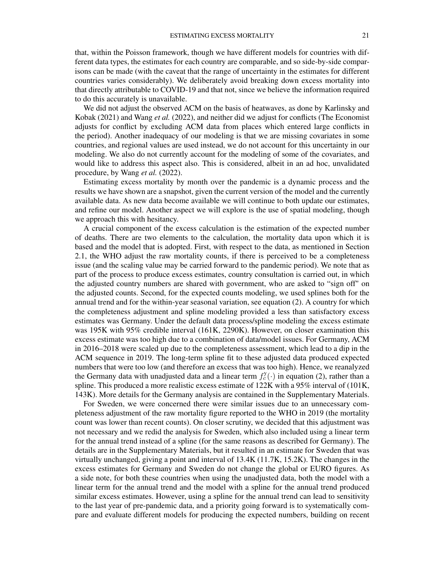that, within the Poisson framework, though we have different models for countries with different data types, the estimates for each country are comparable, and so side-by-side comparisons can be made (with the caveat that the range of uncertainty in the estimates for different countries varies considerably). We deliberately avoid breaking down excess mortality into that directly attributable to COVID-19 and that not, since we believe the information required to do this accurately is unavailable.

We did not adjust the observed ACM on the basis of heatwaves, as done by Karlinsky and Kobak (2021) and Wang *et al.* (2022), and neither did we adjust for conflicts (The Economist adjusts for conflict by excluding ACM data from places which entered large conflicts in the period). Another inadequacy of our modeling is that we are missing covariates in some countries, and regional values are used instead, we do not account for this uncertainty in our modeling. We also do not currently account for the modeling of some of the covariates, and would like to address this aspect also. This is considered, albeit in an ad hoc, unvalidated procedure, by Wang *et al.* (2022).

Estimating excess mortality by month over the pandemic is a dynamic process and the results we have shown are a snapshot, given the current version of the model and the currently available data. As new data become available we will continue to both update our estimates, and refine our model. Another aspect we will explore is the use of spatial modeling, though we approach this with hesitancy.

A crucial component of the excess calculation is the estimation of the expected number of deaths. There are two elements to the calculation, the mortality data upon which it is based and the model that is adopted. First, with respect to the data, as mentioned in Section 2.1, the WHO adjust the raw mortality counts, if there is perceived to be a completeness issue (and the scaling value may be carried forward to the pandemic period). We note that as part of the process to produce excess estimates, country consultation is carried out, in which the adjusted country numbers are shared with government, who are asked to "sign off" on the adjusted counts. Second, for the expected counts modeling, we used splines both for the annual trend and for the within-year seasonal variation, see equation (2). A country for which the completeness adjustment and spline modeling provided a less than satisfactory excess estimates was Germany. Under the default data process/spline modeling the excess estimate was 195K with 95% credible interval (161K, 2290K). However, on closer examination this excess estimate was too high due to a combination of data/model issues. For Germany, ACM in 2016–2018 were scaled up due to the completeness assessment, which lead to a dip in the ACM sequence in 2019. The long-term spline fit to these adjusted data produced expected numbers that were too low (and therefore an excess that was too high). Hence, we reanalyzed the Germany data with unadjusted data and a linear term  $f_c^y(\cdot)$  in equation (2), rather than a spline. This produced a more realistic excess estimate of 122K with a 95% interval of (101K, 143K). More details for the Germany analysis are contained in the Supplementary Materials.

For Sweden, we were concerned there were similar issues due to an unnecessary completeness adjustment of the raw mortality figure reported to the WHO in 2019 (the mortality count was lower than recent counts). On closer scrutiny, we decided that this adjustment was not necessary and we redid the analysis for Sweden, which also included using a linear term for the annual trend instead of a spline (for the same reasons as described for Germany). The details are in the Supplementary Materials, but it resulted in an estimate for Sweden that was virtually unchanged, giving a point and interval of 13.4K (11.7K, 15.2K). The changes in the excess estimates for Germany and Sweden do not change the global or EURO figures. As a side note, for both these countries when using the unadjusted data, both the model with a linear term for the annual trend and the model with a spline for the annual trend produced similar excess estimates. However, using a spline for the annual trend can lead to sensitivity to the last year of pre-pandemic data, and a priority going forward is to systematically compare and evaluate different models for producing the expected numbers, building on recent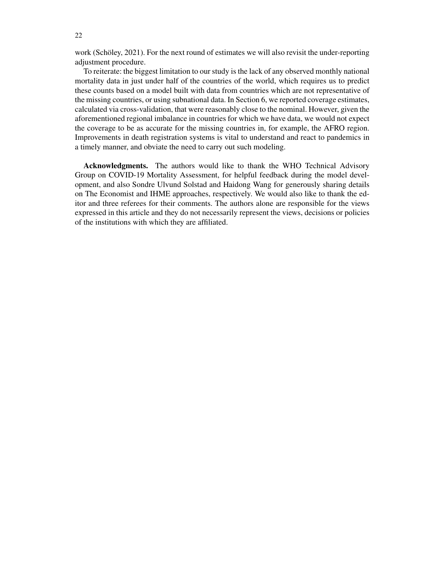work (Schöley, 2021). For the next round of estimates we will also revisit the under-reporting adjustment procedure.

To reiterate: the biggest limitation to our study is the lack of any observed monthly national mortality data in just under half of the countries of the world, which requires us to predict these counts based on a model built with data from countries which are not representative of the missing countries, or using subnational data. In Section 6, we reported coverage estimates, calculated via cross-validation, that were reasonably close to the nominal. However, given the aforementioned regional imbalance in countries for which we have data, we would not expect the coverage to be as accurate for the missing countries in, for example, the AFRO region. Improvements in death registration systems is vital to understand and react to pandemics in a timely manner, and obviate the need to carry out such modeling.

Acknowledgments. The authors would like to thank the WHO Technical Advisory Group on COVID-19 Mortality Assessment, for helpful feedback during the model development, and also Sondre Ulvund Solstad and Haidong Wang for generously sharing details on The Economist and IHME approaches, respectively. We would also like to thank the editor and three referees for their comments. The authors alone are responsible for the views expressed in this article and they do not necessarily represent the views, decisions or policies of the institutions with which they are affiliated.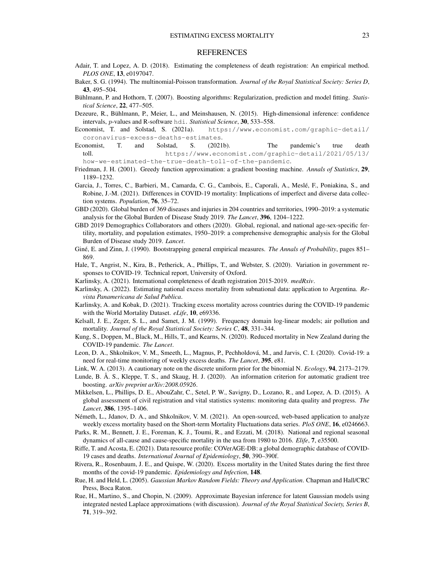## **REFERENCES**

- Adair, T. and Lopez, A. D. (2018). Estimating the completeness of death registration: An empirical method. *PLOS ONE*, 13, e0197047.
- Baker, S. G. (1994). The multinomial-Poisson transformation. *Journal of the Royal Statistical Society: Series D*, 43, 495–504.
- Bühlmann, P. and Hothorn, T. (2007). Boosting algorithms: Regularization, prediction and model fitting. *Statistical Science*, 22, 477–505.

Dezeure, R., Bühlmann, P., Meier, L., and Meinshausen, N. (2015). High-dimensional inference: confidence intervals, p-values and R-software hdi. *Statistical Science*, 30, 533–558.

Economist, T. and Solstad, S. (2021a). https://www.economist.com/graphic-detail/ coronavirus-excess-deaths-estimates.

Economist, T. and Solstad, S. (2021b). The pandemic's true death toll. https://www.economist.com/graphic-detail/2021/05/13/ how-we-estimated-the-true-death-toll-of-the-pandemic.

- Friedman, J. H. (2001). Greedy function approximation: a gradient boosting machine. *Annals of Statistics*, 29, 1189–1232.
- Garcia, J., Torres, C., Barbieri, M., Camarda, C. G., Cambois, E., Caporali, A., Meslé, F., Poniakina, S., and Robine, J.-M. (2021). Differences in COVID-19 mortality: Implications of imperfect and diverse data collection systems. *Population*, 76, 35–72.
- GBD (2020). Global burden of 369 diseases and injuries in 204 countries and territories, 1990–2019: a systematic analysis for the Global Burden of Disease Study 2019. *The Lancet*, 396, 1204–1222.
- GBD 2019 Demographics Collaborators and others (2020). Global, regional, and national age-sex-specific fertility, mortality, and population estimates, 1950–2019: a comprehensive demographic analysis for the Global Burden of Disease study 2019. *Lancet*.
- Giné, E. and Zinn, J. (1990). Bootstrapping general empirical measures. *The Annals of Probability*, pages 851– 869.
- Hale, T., Angrist, N., Kira, B., Petherick, A., Phillips, T., and Webster, S. (2020). Variation in government responses to COVID-19. Technical report, University of Oxford.
- Karlinsky, A. (2021). International completeness of death registration 2015-2019. *medRxiv*.
- Karlinsky, A. (2022). Estimating national excess mortality from subnational data: application to Argentina. *Revista Panamericana de Salud Publica*.
- Karlinsky, A. and Kobak, D. (2021). Tracking excess mortality across countries during the COVID-19 pandemic with the World Mortality Dataset. *eLife*, 10, e69336.
- Kelsall, J. E., Zeger, S. L., and Samet, J. M. (1999). Frequency domain log-linear models; air pollution and mortality. *Journal of the Royal Statistical Society: Series C*, 48, 331–344.
- Kung, S., Doppen, M., Black, M., Hills, T., and Kearns, N. (2020). Reduced mortality in New Zealand during the COVID-19 pandemic. *The Lancet*.
- Leon, D. A., Shkolnikov, V. M., Smeeth, L., Magnus, P., Pechholdová, M., and Jarvis, C. I. (2020). Covid-19: a need for real-time monitoring of weekly excess deaths. *The Lancet*, 395, e81.
- Link, W. A. (2013). A cautionary note on the discrete uniform prior for the binomial N. *Ecology*, 94, 2173–2179.
- Lunde, B. Å. S., Kleppe, T. S., and Skaug, H. J. (2020). An information criterion for automatic gradient tree boosting. *arXiv preprint arXiv:2008.05926*.
- Mikkelsen, L., Phillips, D. E., AbouZahr, C., Setel, P. W., Savigny, D., Lozano, R., and Lopez, A. D. (2015). A global assessment of civil registration and vital statistics systems: monitoring data quality and progress. *The Lancet*, 386, 1395–1406.
- Németh, L., Jdanov, D. A., and Shkolnikov, V. M. (2021). An open-sourced, web-based application to analyze weekly excess mortality based on the Short-term Mortality Fluctuations data series. *PloS ONE*, 16, e0246663.
- Parks, R. M., Bennett, J. E., Foreman, K. J., Toumi, R., and Ezzati, M. (2018). National and regional seasonal dynamics of all-cause and cause-specific mortality in the usa from 1980 to 2016. *Elife*, 7, e35500.
- Riffe, T. and Acosta, E. (2021). Data resource profile: COVerAGE-DB: a global demographic database of COVID-19 cases and deaths. *International Journal of Epidemiology*, 50, 390–390f.
- Rivera, R., Rosenbaum, J. E., and Quispe, W. (2020). Excess mortality in the United States during the first three months of the covid-19 pandemic. *Epidemiology and Infection*, 148.
- Rue, H. and Held, L. (2005). *Gaussian Markov Random Fields: Theory and Application*. Chapman and Hall/CRC Press, Boca Raton.
- Rue, H., Martino, S., and Chopin, N. (2009). Approximate Bayesian inference for latent Gaussian models using integrated nested Laplace approximations (with discussion). *Journal of the Royal Statistical Society, Series B*, 71, 319–392.